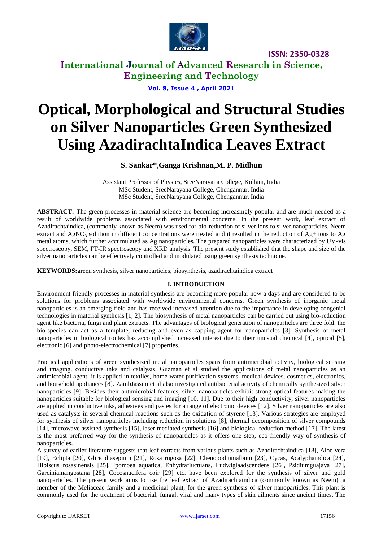

**International Journal of Advanced Research in Science, Engineering and Technology**

**Vol. 8, Issue 4 , April 2021**

# **Optical, Morphological and Structural Studies on Silver Nanoparticles Green Synthesized Using AzadirachtaIndica Leaves Extract**

# **S. Sankar\*,Ganga Krishnan,M. P. Midhun**

Assistant Professor of Physics, SreeNarayana College, Kollam, India MSc Student, SreeNarayana College, Chengannur, India MSc Student, SreeNarayana College, Chengannur, India

**ABSTRACT:** The green processes in material science are becoming increasingly popular and are much needed as a result of worldwide problems associated with environmental concerns. In the present work, leaf extract of Azadirachtaindica, (commonly known as Neem) was used for bio-reduction of silver ions to silver nanoparticles. Neem extract and  $AgNO<sub>3</sub>$  solution in different concentrations were treated and it resulted in the reduction of  $Ag<sub>+</sub>$  ions to Ag metal atoms, which further accumulated as Ag nanoparticles. The prepared nanoparticles were characterized by UV-vis spectroscopy, SEM, FT-IR spectroscopy and XRD analysis. The present study established that the shape and size of the silver nanoparticles can be effectively controlled and modulated using green synthesis technique.

**KEYWORDS:**green synthesis, silver nanoparticles, biosynthesis, azadirachtaindica extract

### **I. INTRODUCTION**

Environment friendly processes in material synthesis are becoming more popular now a days and are considered to be solutions for problems associated with worldwide environmental concerns. Green synthesis of inorganic metal nanoparticles is an emerging field and has received increased attention due to the importance in developing congenial technologies in material synthesis [1, 2]. The biosynthesis of metal nanoparticles can be carried out using bio-reduction agent like bacteria, fungi and plant extracts. The advantages of biological generation of nanoparticles are three fold; the bio-species can act as a template, reducing and even as capping agent for nanoparticles [3]. Synthesis of metal nanoparticles in biological routes has accomplished increased interest due to their unusual chemical [4], optical [5], electronic [6] and photo-electrochemical [7] properties.

Practical applications of green synthesized metal nanoparticles spans from antimicrobial activity, biological sensing and imaging, conductive inks and catalysis. Guzman et al studied the applications of metal nanoparticles as an antimicrobial agent; it is applied in textiles, home water purification systems, medical devices, cosmetics, electronics, and household appliances [8]. [ZainbJassim](https://www.researchgate.net/profile/Zainb_Jassim2?_sg%5B0%5D=0Tc_rLGWYuV-qO8D1uTPUEMK6grT_eHXll5xNiJMD1YLeXEozRUstk2Asx7XZAX0OLlWrzM.l5Rdqn7jZ7rHTMm8V1px6sih3jAALkln5ntAECoKHHWddFZB9h0XYZ3vIuW8u3QMwt-hrCU4AO0wyC5YDtau8w&_sg%5B1%5D=T4tmc7gPpBTg3roqsJmYP5NmK5Kpumf9_hl9evZbHBl9n_qj-lCo9HT29qA7IMWkcxvSJZ8.DXOQ0hGlXc4kp4AnwS3dHVrLGlokLsIDl6ZFAmHvNBUehhasYZZlX5nywaJGAkFOCNfj49byJ88es-csjT9Ang) et al also investigated antibacterial activity of chemically synthesized silver nanoparticles [9]. Besides their antimicrobial features, silver nanoparticles exhibit strong optical features making the nanoparticles suitable for biological sensing and imaging [10, 11]. Due to their high conductivity, silver nanoparticles are applied in conductive inks, adhesives and pastes for a range of electronic devices [12]. Silver nanoparticles are also used as catalysts in several chemical reactions such as the oxidation of styrene [13]. Various strategies are employed for synthesis of silver nanoparticles including reduction in solutions [8], thermal decomposition of silver compounds [14], microwave assisted synthesis [15], laser mediated synthesis [16] and biological reduction method [17]. The latest is the most preferred way for the synthesis of nanoparticles as it offers one step, eco-friendly way of synthesis of nanoparticles.

A survey of earlier literature suggests that leaf extracts from various plants such as Azadirachtaindica [18], Aloe vera [19], Eclipta [20], Gliricidiasepium [21], Rosa rugosa [22], Chenopodiumalbum [23], Cycas, Acalyphaindica [24], Hibiscus rosasinensis [25], Ipomoea aquatica, Enhydrafluctuans, Ludwigiaadscendens [26], Psidiumguajava [27], Garciniamangostana [28], Cocosnucifera coir [29] etc. have been explored for the synthesis of silver and gold nanoparticles. The present work aims to use the leaf extract of Azadirachtaindica (commonly known as Neem), a member of the Meliaceae family and a medicinal plant, for the green synthesis of silver nanoparticles. This plant is commonly used for the treatment of bacterial, fungal, viral and many types of skin ailments since ancient times. The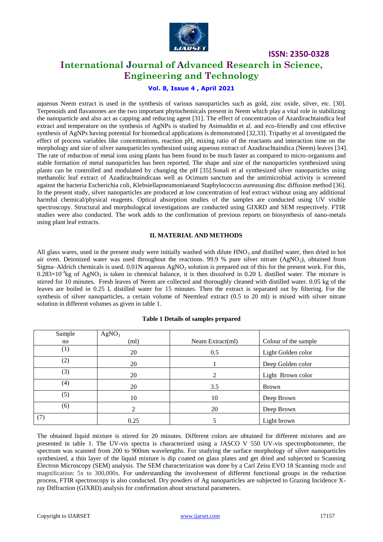

# **International Journal of Advanced Research in Science, Engineering and Technology**

## **Vol. 8, Issue 4 , April 2021**

aqueous Neem extract is used in the synthesis of various nanoparticles such as gold, zinc oxide, silver, etc. [30]. Terpenoids and flavanones are the two important phytochemicals present in Neem which play a vital role in stabilizing the nanoparticle and also act as capping and reducing agent [31]. The effect of concentration of Azardirachtaindica leaf extract and temperature on the synthesis of AgNPs is studied by Asimuddin et al. and eco-friendly and cost effective synthesis of AgNPs having potential for biomedical applications is demonstrated [32,33]. Tripathy et al investigated the effect of process variables like concentrations, reaction pH, mixing ratio of the reactants and interaction time on the morphology and size of silver nanoparticles synthesized using aqueous extract of Azadirachtaindica (Neem) leaves [34]. The rate of reduction of metal ions using plants has been found to be much faster as compared to micro-organisms and stable formation of metal nanoparticles has been reported. The shape and size of the nanoparticles synthesized using plants can be controlled and modulated by changing the pH [35].Sonali et al synthesized silver nanoparticles using methanolic leaf extract of Azadirachtaindicaas well as Ocimum sanctum and the antimicrobial activity is screened against the bacteria Escherichia coli, Klebsiellapneumoniaeand Staphylococcus aureususing disc diffusion method [36]. In the present study, silver nanoparticles are produced at low concentration of leaf extract without using any additional harmful chemical/physical reagents. Optical absorption studies of the samples are conducted using UV visible spectroscopy. Structural and morphological investigations are conducted using GIXRD and SEM respectively. FTIR studies were also conducted. The work adds to the confirmation of previous reports on biosynthesis of nano-metals using plant leaf extracts.

### **II. MATERIAL AND METHODS**

All glass wares, used in the present study were initially washed with dilute  $HNO<sub>3</sub>$  and distilled water, then dried in hot air oven. Deionized water was used throughout the reactions. 99.9 % pure silver nitrate (AgNO<sub>3</sub>), obtained from Sigma–Aldrich chemicals is used. 0.01N aqueous  $AgNO_3$  solution is prepared out of this for the present work. For this,  $0.283\times10^{-3}$ kg of AgNO<sub>3</sub> is taken in chemical balance, it is then dissolved in 0.20 L distilled water. The mixture is stirred for 10 minutes. Fresh leaves of Neem are collected and thoroughly cleaned with distilled water. 0.05 kg of the leaves are boiled in 0.25 L distilled water for 15 minutes. Then the extract is separated out by filtering. For the synthesis of silver nanoparticles, a certain volume of Neemleaf extract (0.5 to 20 ml) is mixed with silver nitrate solution in different volumes as given in table 1.

| Sample | AgNO <sub>3</sub> |                  |                      |
|--------|-------------------|------------------|----------------------|
| no     | (ml)              | Neam Extract(ml) | Colour of the sample |
| (1)    | 20                | 0.5              | Light Golden color   |
| (2)    | 20                |                  | Deep Golden color    |
| (3)    | 20                | $\overline{2}$   | Light Brown color    |
| (4)    | 20                | 3.5              | <b>Brown</b>         |
| (5)    | 10                | 10               | Deep Brown           |
| (6)    | ↑                 | 20               | Deep Brown           |
| (7)    | 0.25              |                  | Light brown          |

#### **Table 1 Details of samples prepared**

The obtained liquid mixture is stirred for 20 minutes. Different colors are obtained for different mixtures and are presented in table 1. The UV-vis spectra is characterized using a JASCO V 550 UV-vis spectrophotometer, the spectrum was scanned from 200 to 900nm wavelengths. For studying the surface morphology of silver nanoparticles synthesized, a thin layer of the liquid mixture is dip coated on glass plates and get dried and subjected to Scanning Electron Microscopy (SEM) analysis. The SEM characterization was done by a Carl Zeiss EVO 18 Scanning mode and magnification: 5x to 300,000x. For understanding the involvement of different functional groups in the reduction process, FTIR spectroscopy is also conducted. Dry powders of Ag nanoparticles are subjected to Grazing Incidence Xray Diffraction (GIXRD) analysis for confirmation about structural parameters.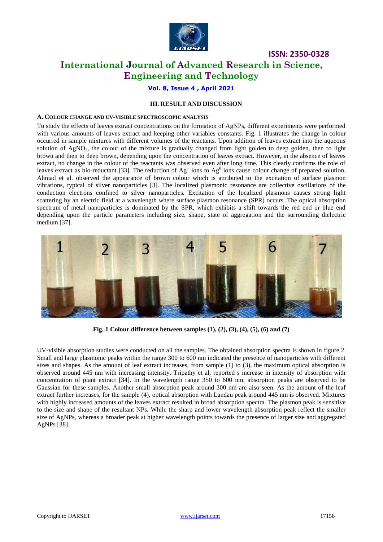

# **International Journal of Advanced Research in Science, Engineering and Technology**

### **Vol. 8, Issue 4 , April 2021**

### **III. RESULT AND DISCUSSION**

#### **A. COLOUR CHANGE AND UV-VISIBLE SPECTROSCOPIC ANALYSIS**

To study the effects of leaves extract concentrations on the formation of AgNPs, different experiments were performed with various amounts of leaves extract and keeping other variables constants. Fig. 1 illustrates the change in colour occurred in sample mixtures with different volumes of the reactants. Upon addition of leaves extract into the aqueous solution of AgNO<sub>3</sub>, the colour of the mixture is gradually changed from light golden to deep golden, then to light brown and then to deep brown, depending upon the concentration of leaves extract. However, in the absence of leaves extract, no change in the colour of the reactants was observed even after long time. This clearly confirms the role of leaves extract as bio-reductant [33]. The reduction of  $Ag<sup>+</sup>$  ions to  $Ag<sup>0</sup>$  ions cause colour change of prepared solution. Ahmad et al. observed the appearance of brown colour which is attributed to the excitation of surface plasmon vibrations, typical of silver nanoparticles [3]. The localized plasmonic resonance are collective oscillations of the conduction electrons confined to silver nanoparticles. Excitation of the localized plasmons causes strong light scattering by an electric field at a wavelength where surface plasmon resonance (SPR) occurs. The optical absorption spectrum of metal nanoparticles is dominated by the SPR, which exhibits a shift towards the red end or blue end depending upon the particle parameters including size, shape, state of aggregation and the surrounding dielectric medium [37].



**Fig. 1 Colour difference between samples (1), (2), (3), (4), (5), (6) and (7)**

UV-visible absorption studies were conducted on all the samples. The obtained absorption spectra is shown in figure 2. Small and large plasmonic peaks within the range 300 to 600 nm indicated the presence of nanoparticles with different sizes and shapes. As the amount of leaf extract increases, from sample (1) to (3), the maximum optical absorption is observed around 445 nm with increasing intensity. Tripathy et al, reported s increase in intensity of absorption with concentration of plant extract [34]. In the wavelength range 350 to 600 nm, absorption peaks are observed to be Gaussian for these samples. Another small absorption peak around 300 nm are also seen. As the amount of the leaf extract further increases, for the sample (4), optical absorption with Landau peak around 445 nm is observed. Mixtures with highly increased amounts of the leaves extract resulted in broad absorption spectra. The plasmon peak is sensitive to the size and shape of the resultant NPs. While the sharp and lower wavelength absorption peak reflect the smaller size of AgNPs, whereas a broader peak at higher wavelength points towards the presence of larger size and aggregated AgNPs [38].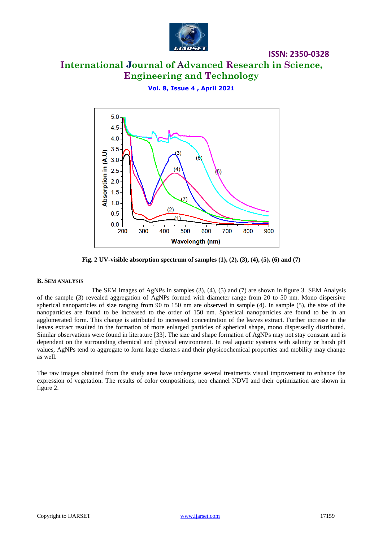

# **International Journal of Advanced Research in Science, Engineering and Technology**

**ISSN: 2350-0328**

**Vol. 8, Issue 4 , April 2021**



**Fig. 2 UV-visible absorption spectrum of samples (1), (2), (3), (4), (5), (6) and (7)**

#### **B. SEM ANALYSIS**

The SEM images of AgNPs in samples (3), (4), (5) and (7) are shown in figure 3. SEM Analysis of the sample (3) revealed aggregation of AgNPs formed with diameter range from 20 to 50 nm. Mono dispersive spherical nanoparticles of size ranging from 90 to 150 nm are observed in sample (4). In sample (5), the size of the nanoparticles are found to be increased to the order of 150 nm. Spherical nanoparticles are found to be in an agglomerated form. This change is attributed to increased concentration of the leaves extract. Further increase in the leaves extract resulted in the formation of more enlarged particles of spherical shape, mono dispersedly distributed. Similar observations were found in literature [33]. The size and shape formation of AgNPs may not stay constant and is dependent on the surrounding chemical and physical environment. In real aquatic systems with salinity or harsh pH values, AgNPs tend to aggregate to form large clusters and their physicochemical properties and mobility may change as well.

The raw images obtained from the study area have undergone several treatments visual improvement to enhance the expression of vegetation. The results of color compositions, neo channel NDVI and their optimization are shown in figure 2.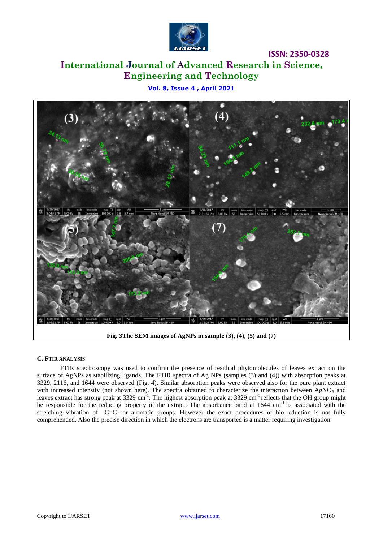

# **International Journal of Advanced Research in Science, Engineering and Technology**

**Vol. 8, Issue 4 , April 2021**



**Fig. 3The SEM images of AgNPs in sample (3), (4), (5) and (7)**

### **C. FTIR ANALYSIS**

FTIR spectroscopy was used to confirm the presence of residual phytomolecules of leaves extract on the surface of AgNPs as stabilizing ligands. The FTIR spectra of Ag NPs (samples (3) and (4)) with absorption peaks at 3329, 2116, and 1644 were observed (Fig. 4). Similar absorption peaks were observed also for the pure plant extract with increased intensity (not shown here). The spectra obtained to characterize the interaction between  $AgNO<sub>3</sub>$  and leaves extract has strong peak at 3329 cm<sup>-1</sup>. The highest absorption peak at 3329 cm<sup>-1</sup> reflects that the OH group might be responsible for the reducing property of the extract. The absorbance band at 1644 cm<sup>-1</sup> is associated with the stretching vibration of –C=C- or aromatic groups. However the exact procedures of bio-reduction is not fully comprehended. Also the precise direction in which the electrons are transported is a matter requiring investigation.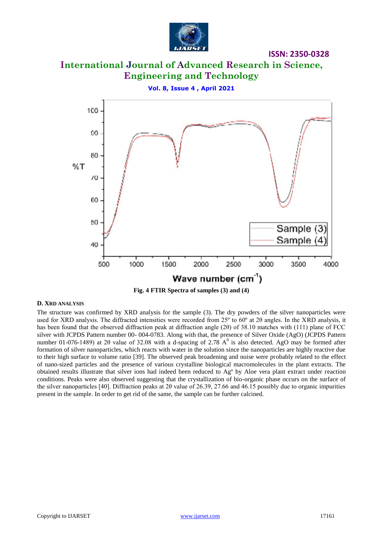

# **International Journal of Advanced Research in Science, Engineering and Technology**

**Vol. 8, Issue 4 , April 2021**



**Fig. 4 FTIR Spectra of samples (3) and (4)**

#### **D. XRD ANALYSIS**

The structure was confirmed by XRD analysis for the sample (3). The dry powders of the silver nanoparticles were used for XRD analysis. The diffracted intensities were recorded from  $25^{\circ}$  to  $60^{\circ}$  at  $2\theta$  angles. In the XRD analysis, it has been found that the observed diffraction peak at diffraction angle (2θ) of 38.10 matches with (111) plane of FCC silver with JCPDS Pattern number 00- 004-0783. Along with that, the presence of Silver Oxide (AgO) (JCPDS Pattern number 01-076-1489) at 2 $\theta$  value of 32.08 with a d-spacing of 2.78 A<sup>0</sup> is also detected. AgO may be formed after formation of silver nanoparticles, which reacts with water in the solution since the nanoparticles are highly reactive due to their high surface to volume ratio [39]. The observed peak broadening and noise were probably related to the effect of nano-sized particles and the presence of various crystalline biological macromolecules in the plant extracts. The obtained results illustrate that silver ions had indeed been reduced to Agº by Aloe vera plant extract under reaction conditions. Peaks were also observed suggesting that the crystallization of bio-organic phase occurs on the surface of the silver nanoparticles [40]. Diffraction peaks at 2θ value of 26.39, 27.66 and 46.15 possibly due to organic impurities present in the sample. In order to get rid of the same, the sample can be further calcined.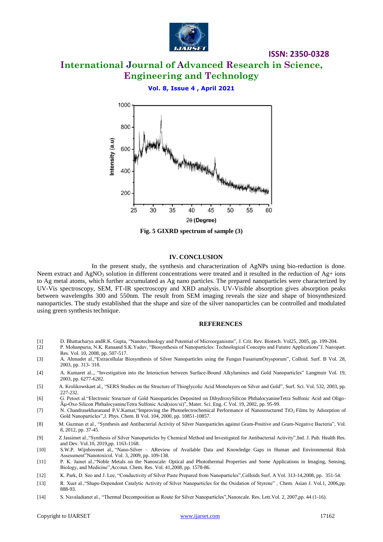

# **International Journal of Advanced Research in Science, Engineering and Technology**

**ISSN: 2350-0328**

**Vol. 8, Issue 4 , April 2021**



**Fig. 5 GIXRD spectrum of sample (3)**

#### **IV. CONCLUSION**

In the present study, the synthesis and characterization of AgNPs using bio-reduction is done. Neem extract and  $AgNO_3$  solution in different concentrations were treated and it resulted in the reduction of  $Ag+$  ions to Ag metal atoms, which further accumulated as Ag nano particles. The prepared nanoparticles were characterized by UV-Vis spectroscopy, SEM, FT-IR spectroscopy and XRD analysis. UV-Visible absorption gives absorption peaks between wavelengths 300 and 550nm. The result from SEM imaging reveals the size and shape of biosynthesized nanoparticles. The study established that the shape and size of the silver nanoparticles can be controlled and modulated using green synthesis technique.

#### **REFERENCES**

- [1] D. Bhattacharya andR.K. Gupta, "Nanotechnology and Potential of Microorganisms", J[. Crit. Rev. Biotech.](https://www.tandfonline.com/toc/ibty20/current) Vol25, 2005, pp. 199-204.
- [2] P. Mohanpuria, N.K. Ranaand S.K.Yadav, "Biosynthesis of Nanoparticles: Technological Concepts and Fututre Applications"J. Nanopart. Res. Vol. 10, 2008, pp. 507-517.
- [3] A. Ahmadet al.,"Extracellular Biosynthesis of Silver Nanoparticles using the Fungus FusariumOxysporum", Colloid. Surf. B Vol. 28, 2003, pp. 313- 318.
- [4] A. Kumaret al.., "Investigation into the Interaction between Surface-Bound Alkylamines and Gold Nanoparticles" Langmuir Vol. 19, 2003, pp. 6277-6282.
- [5] A. Krolikowskaet al., "SERS Studies on the Structure of Thioglycolic Acid Monolayers on Silver and Gold", Surf. Sci. Vol. 532, 2003, pp. 227-232.
- [6] G. Petoet al."Electronic Structure of Gold Nanoparticles Deposited on DihydroxySilicon PhthalocyanineTetra Sulfonic Acid and Oligoµ-Oxo Silicon PhthalocyanineTetra Sulfonic Acid(siox/si)", Mater. Sci. Eng. C Vol. 19, 2002, pp. 95-99.
- [7] N. Chandrasekharanand P.V.Kamat,"Improving the Photoelectrochemical Performance of Nanostructured TiO<sup>2</sup> Films by Adsorption of Gold Nanoparticles",J. Phys. Chem. B Vol. 104, 2000, pp. 10851-10857.
- [8] M. Guzman et al., "Synthesis and Antibacterial Activity of Silver Nanoparticles against Gram-Positive and Gram-Negative Bacteria", Vol. 8, 2012, pp. 37-45.
- [9] [Z Jassime](https://www.researchgate.net/profile/Zainb_Jassim2?_sg=lObJRDdBQbFlWEp3sZNBif29cfUTkZQmTDpg-GEoNYOWVnjdYFcnPn0UxOr2ZfOSnSG2yus._k9q2PALefO0yOWPN19zfgTUhz4gjBEHJiSLXi5-FZSHbzRsdk5ZXvLJfQXfQ3eKopezmHKryHSvU78rymgLkg)t al.,"Synthesis of Silver Nanoparticles by Chemical Method and Investigated for Antibacterial Activity",Ind. J. Pub. Health Res. and Dev. Vol.10, 2019,pp. 1163-1168.
- [10] S.W.P. Wijnhovenet al., "Nano-Silver AReview of Available Data and Knowledge Gaps in Human and Environmental Risk Assessment"Nanotoxicol. Vol. 3, 2009, pp. 109-138.
- [11] P. K. Jainet al.,"Noble Metals on the Nanoscale: Optical and Photothermal Properties and Some Applications in Imaging, Sensing, Biology, and Medicine",Accoun. Chem. Res. Vol. 41,2008, pp. 1578-86.
- [12] K. Park, D. Seo and J. Lee, "Conductivity of Silver Paste Prepared from Nanoparticles",Colloids Surf. A Vol. 313-14,2008, pp. 351-54.
- [13] R. Xuet al.,"Shape‐Dependent Catalytic Activity of Silver Nanoparticles for the Oxidation of Styrene" , Chem. Asian J. Vol.1, 2006,pp. 888-93.
- [14] S. Navaladianet al., "Thermal Decomposition as Route for Silver Nanoparticles",Nanoscale. Res. Lett.Vol. 2, 2007,pp. 44 (1-16).